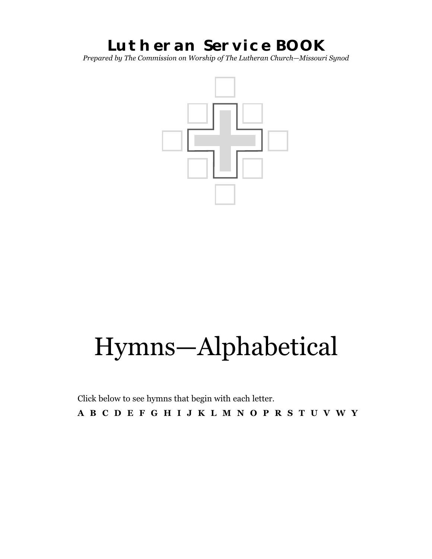# **Lutheran Service BOOK**

*Prepared by The Commission on Worship of The Lutheran Church—Missouri Synod*



# Hymns—Alphabetical

Click below to see hymns that begin with each letter. [A](#page-1-0) [B](#page-2-0) [C](#page-3-0) [D E](#page-5-0) [F](#page-5-0) [G](#page-6-0) [H](#page-7-0) [I](#page-8-0) [J](#page-9-0) [K L](#page-10-0) [M N](#page-12-0) [O](#page-13-0) [P](#page-16-0) [R](#page-16-0) [S](#page-17-0) [T](#page-18-0) [U](#page-20-0) [V](#page-20-0) [W](#page-20-0) Y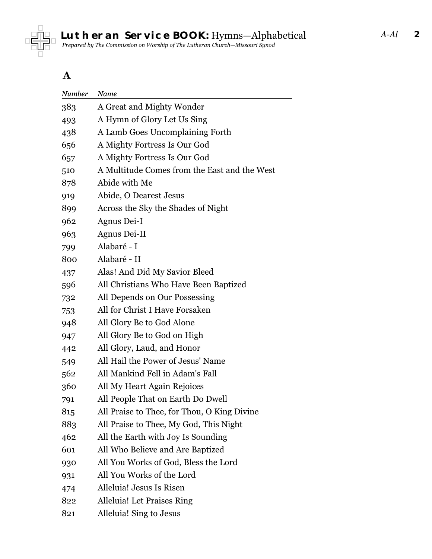<span id="page-1-0"></span>

#### **A**

| Number | Name                                         |
|--------|----------------------------------------------|
| 383    | A Great and Mighty Wonder                    |
| 493    | A Hymn of Glory Let Us Sing                  |
| 438    | A Lamb Goes Uncomplaining Forth              |
| 656    | A Mighty Fortress Is Our God                 |
| 657    | A Mighty Fortress Is Our God                 |
| 510    | A Multitude Comes from the East and the West |
| 878    | Abide with Me                                |
| 919    | Abide, O Dearest Jesus                       |
| 899    | Across the Sky the Shades of Night           |
| 962    | Agnus Dei-I                                  |
| 963    | Agnus Dei-II                                 |
| 799    | Alabaré - I                                  |
| 800    | Alabaré - II                                 |
| 437    | Alas! And Did My Savior Bleed                |
| 596    | All Christians Who Have Been Baptized        |
| 732    | All Depends on Our Possessing                |
| 753    | All for Christ I Have Forsaken               |
| 948    | All Glory Be to God Alone                    |
| 947    | All Glory Be to God on High                  |
| 442    | All Glory, Laud, and Honor                   |
| 549    | All Hail the Power of Jesus' Name            |
| 562    | All Mankind Fell in Adam's Fall              |
| 360    | All My Heart Again Rejoices                  |
| 791    | All People That on Earth Do Dwell            |
| 815    | All Praise to Thee, for Thou, O King Divine  |
| 883    | All Praise to Thee, My God, This Night       |
| 462    | All the Earth with Joy Is Sounding           |
| 601    | All Who Believe and Are Baptized             |
| 930    | All You Works of God, Bless the Lord         |
| 931    | All You Works of the Lord                    |
| 474    | Alleluia! Jesus Is Risen                     |
| 822    | Alleluia! Let Praises Ring                   |
| 821    | Alleluia! Sing to Jesus                      |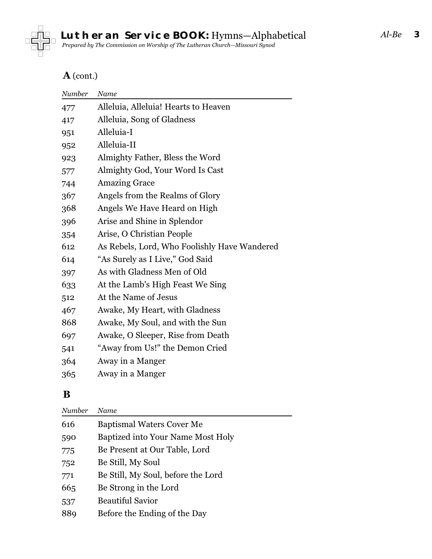<span id="page-2-0"></span>

#### **A** (cont.)

| Number | Name                                         |
|--------|----------------------------------------------|
| 477    | Alleluia, Alleluia! Hearts to Heaven         |
| 417    | Alleluia, Song of Gladness                   |
| 951    | Alleluia-I                                   |
| 952    | Alleluia-II                                  |
| 923    | Almighty Father, Bless the Word              |
| 577    | Almighty God, Your Word Is Cast              |
| 744    | <b>Amazing Grace</b>                         |
| 367    | Angels from the Realms of Glory              |
| 368    | Angels We Have Heard on High                 |
| 396    | Arise and Shine in Splendor                  |
| 354    | Arise, O Christian People                    |
| 612    | As Rebels, Lord, Who Foolishly Have Wandered |
| 614    | "As Surely as I Live," God Said              |
| 397    | As with Gladness Men of Old                  |
| 633    | At the Lamb's High Feast We Sing             |
| 512    | At the Name of Jesus                         |
| 467    | Awake, My Heart, with Gladness               |
| 868    | Awake, My Soul, and with the Sun             |
| 697    | Awake, O Sleeper, Rise from Death            |
| 541    | "Away from Us!" the Demon Cried              |
| 364    | Away in a Manger                             |
| 365    | Away in a Manger                             |
|        |                                              |

## **B**

| Number | Name                               |
|--------|------------------------------------|
| 616    | <b>Baptismal Waters Cover Me</b>   |
| 590    | Baptized into Your Name Most Holy  |
| 775    | Be Present at Our Table, Lord      |
| 752    | Be Still, My Soul                  |
| 771    | Be Still, My Soul, before the Lord |
| 665    | Be Strong in the Lord              |
| 537    | <b>Beautiful Savior</b>            |
| 889    | Before the Ending of the Day       |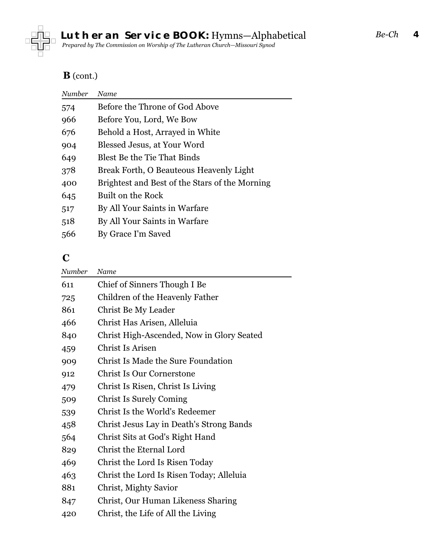<span id="page-3-0"></span>

#### **B** (cont.)

| Number | Name                                           |
|--------|------------------------------------------------|
| 574    | Before the Throne of God Above                 |
| 966    | Before You, Lord, We Bow                       |
| 676    | Behold a Host, Arrayed in White                |
| 904    | Blessed Jesus, at Your Word                    |
| 649    | <b>Blest Be the Tie That Binds</b>             |
| 378    | Break Forth, O Beauteous Heavenly Light        |
| 400    | Brightest and Best of the Stars of the Morning |
| 645    | Built on the Rock                              |
| 517    | By All Your Saints in Warfare                  |
| 518    | By All Your Saints in Warfare                  |
| 566    | By Grace I'm Saved                             |
|        |                                                |

## **C**

| Number | Name                                      |
|--------|-------------------------------------------|
| 611    | Chief of Sinners Though I Be              |
| 725    | Children of the Heavenly Father           |
| 861    | Christ Be My Leader                       |
| 466    | Christ Has Arisen, Alleluia               |
| 840    | Christ High-Ascended, Now in Glory Seated |
| 459    | Christ Is Arisen                          |
| 909    | <b>Christ Is Made the Sure Foundation</b> |
| 912    | <b>Christ Is Our Cornerstone</b>          |
| 479    | Christ Is Risen, Christ Is Living         |
| 509    | <b>Christ Is Surely Coming</b>            |
| 539    | Christ Is the World's Redeemer            |
| 458    | Christ Jesus Lay in Death's Strong Bands  |
| 564    | Christ Sits at God's Right Hand           |
| 829    | Christ the Eternal Lord                   |
| 469    | Christ the Lord Is Risen Today            |
| 463    | Christ the Lord Is Risen Today; Alleluia  |
| 881    | Christ, Mighty Savior                     |
| 847    | Christ, Our Human Likeness Sharing        |
| 420    | Christ, the Life of All the Living        |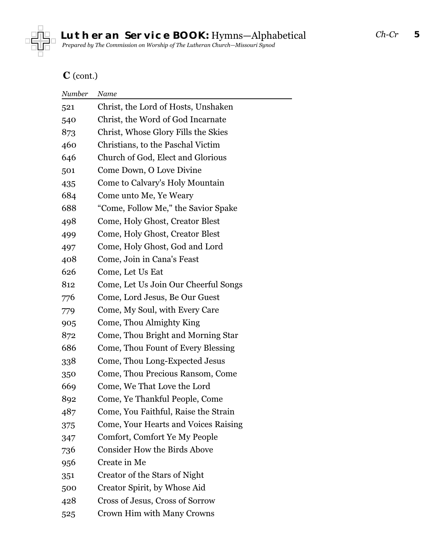

## **C** (cont.)

| Number | Name                                 |
|--------|--------------------------------------|
| 521    | Christ, the Lord of Hosts, Unshaken  |
| 540    | Christ, the Word of God Incarnate    |
| 873    | Christ, Whose Glory Fills the Skies  |
| 460    | Christians, to the Paschal Victim    |
| 646    | Church of God, Elect and Glorious    |
| 501    | Come Down, O Love Divine             |
| 435    | Come to Calvary's Holy Mountain      |
| 684    | Come unto Me, Ye Weary               |
| 688    | "Come, Follow Me," the Savior Spake  |
| 498    | Come, Holy Ghost, Creator Blest      |
| 499    | Come, Holy Ghost, Creator Blest      |
| 497    | Come, Holy Ghost, God and Lord       |
| 408    | Come, Join in Cana's Feast           |
| 626    | Come, Let Us Eat                     |
| 812    | Come, Let Us Join Our Cheerful Songs |
| 776    | Come, Lord Jesus, Be Our Guest       |
| 779    | Come, My Soul, with Every Care       |
| 905    | Come, Thou Almighty King             |
| 872    | Come, Thou Bright and Morning Star   |
| 686    | Come, Thou Fount of Every Blessing   |
| 338    | Come, Thou Long-Expected Jesus       |
| 350    | Come, Thou Precious Ransom, Come     |
| 669    | Come, We That Love the Lord          |
| 892    | Come, Ye Thankful People, Come       |
| 487    | Come, You Faithful, Raise the Strain |
| 375    | Come, Your Hearts and Voices Raising |
| 347    | Comfort, Comfort Ye My People        |
| 736    | <b>Consider How the Birds Above</b>  |
| 956    | Create in Me                         |
| 351    | Creator of the Stars of Night        |
| 500    | Creator Spirit, by Whose Aid         |
| 428    | Cross of Jesus, Cross of Sorrow      |
| 525    | Crown Him with Many Crowns           |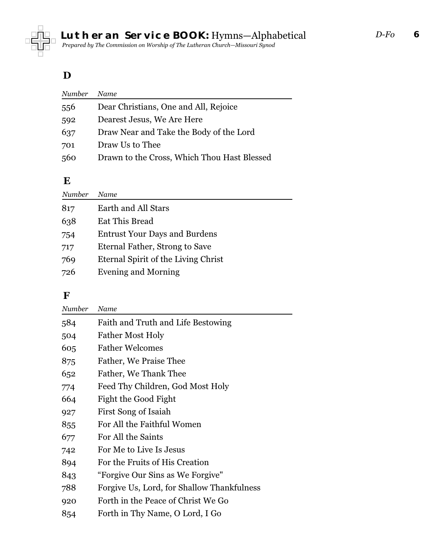<span id="page-5-0"></span>

#### **D**

| Number | Name                                        |
|--------|---------------------------------------------|
| 556    | Dear Christians, One and All, Rejoice       |
| 592    | Dearest Jesus, We Are Here                  |
| 637    | Draw Near and Take the Body of the Lord     |
| 701    | Draw Us to Thee                             |
| 560    | Drawn to the Cross, Which Thou Hast Blessed |

#### **E**

| Number | Name                                 |
|--------|--------------------------------------|
| 817    | Earth and All Stars                  |
| 638    | <b>Eat This Bread</b>                |
| 754    | <b>Entrust Your Days and Burdens</b> |
| 717    | Eternal Father, Strong to Save       |
| 769    | Eternal Spirit of the Living Christ  |
| 726    | <b>Evening and Morning</b>           |

#### **F**

| Number | Name                                       |
|--------|--------------------------------------------|
| 584    | Faith and Truth and Life Bestowing         |
| 504    | <b>Father Most Holy</b>                    |
| 605    | <b>Father Welcomes</b>                     |
| 875    | Father, We Praise Thee                     |
| 652    | Father, We Thank Thee                      |
| 774    | Feed Thy Children, God Most Holy           |
| 664    | Fight the Good Fight                       |
| 927    | First Song of Isaiah                       |
| 855    | For All the Faithful Women                 |
| 677    | For All the Saints                         |
| 742    | For Me to Live Is Jesus                    |
| 894    | For the Fruits of His Creation             |
| 843    | "Forgive Our Sins as We Forgive"           |
| 788    | Forgive Us, Lord, for Shallow Thankfulness |
| 920    | Forth in the Peace of Christ We Go         |
| 854    | Forth in Thy Name, O Lord, I Go            |
|        |                                            |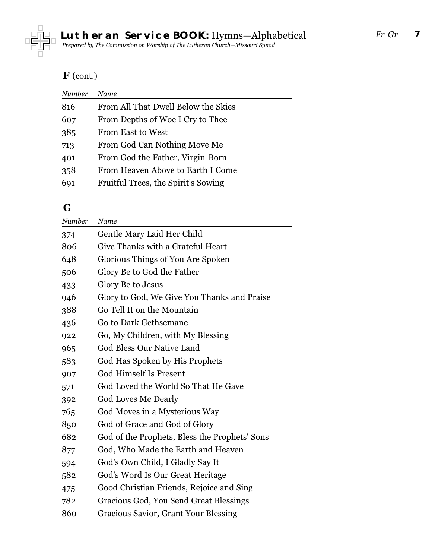<span id="page-6-0"></span>

## **F** (cont.)

| Number | Name                                |
|--------|-------------------------------------|
| 816    | From All That Dwell Below the Skies |
| 607    | From Depths of Woe I Cry to Thee    |
| 385    | <b>From East to West</b>            |
| 713    | From God Can Nothing Move Me        |
| 401    | From God the Father, Virgin-Born    |
| 358    | From Heaven Above to Earth I Come   |
| 691    | Fruitful Trees, the Spirit's Sowing |

## **G**

| Number | Name                                          |
|--------|-----------------------------------------------|
| 374    | Gentle Mary Laid Her Child                    |
| 806    | Give Thanks with a Grateful Heart             |
| 648    | Glorious Things of You Are Spoken             |
| 506    | Glory Be to God the Father                    |
| 433    | Glory Be to Jesus                             |
| 946    | Glory to God, We Give You Thanks and Praise   |
| 388    | Go Tell It on the Mountain                    |
| 436    | Go to Dark Gethsemane                         |
| 922    | Go, My Children, with My Blessing             |
| 965    | <b>God Bless Our Native Land</b>              |
| 583    | God Has Spoken by His Prophets                |
| 907    | <b>God Himself Is Present</b>                 |
| 571    | God Loved the World So That He Gave           |
| 392    | <b>God Loves Me Dearly</b>                    |
| 765    | God Moves in a Mysterious Way                 |
| 850    | God of Grace and God of Glory                 |
| 682    | God of the Prophets, Bless the Prophets' Sons |
| 877    | God, Who Made the Earth and Heaven            |
| 594    | God's Own Child, I Gladly Say It              |
| 582    | God's Word Is Our Great Heritage              |
| 475    | Good Christian Friends, Rejoice and Sing      |
| 782    | Gracious God, You Send Great Blessings        |
| 860    | <b>Gracious Savior, Grant Your Blessing</b>   |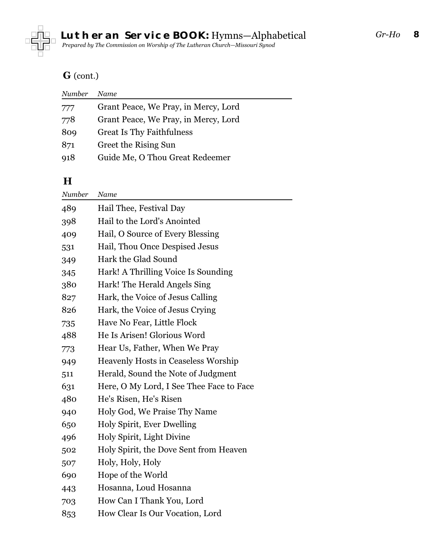<span id="page-7-0"></span>

#### **G** (cont.)

| Number | Name                                 |
|--------|--------------------------------------|
| 777    | Grant Peace, We Pray, in Mercy, Lord |
| 778    | Grant Peace, We Pray, in Mercy, Lord |
| 809    | <b>Great Is Thy Faithfulness</b>     |
| 871    | Greet the Rising Sun                 |
| 918    | Guide Me, O Thou Great Redeemer      |
|        |                                      |

#### **H**

| Number | Name                                       |
|--------|--------------------------------------------|
| 489    | Hail Thee, Festival Day                    |
| 398    | Hail to the Lord's Anointed                |
| 409    | Hail, O Source of Every Blessing           |
| 531    | Hail, Thou Once Despised Jesus             |
| 349    | Hark the Glad Sound                        |
| 345    | Hark! A Thrilling Voice Is Sounding        |
| 380    | Hark! The Herald Angels Sing               |
| 827    | Hark, the Voice of Jesus Calling           |
| 826    | Hark, the Voice of Jesus Crying            |
| 735    | Have No Fear, Little Flock                 |
| 488    | He Is Arisen! Glorious Word                |
| 773    | Hear Us, Father, When We Pray              |
| 949    | <b>Heavenly Hosts in Ceaseless Worship</b> |
| 511    | Herald, Sound the Note of Judgment         |
| 631    | Here, O My Lord, I See Thee Face to Face   |
| 480    | He's Risen, He's Risen                     |
| 940    | Holy God, We Praise Thy Name               |
| 650    | Holy Spirit, Ever Dwelling                 |
| 496    | Holy Spirit, Light Divine                  |
| 502    | Holy Spirit, the Dove Sent from Heaven     |
| 507    | Holy, Holy, Holy                           |
| 690    | Hope of the World                          |
| 443    | Hosanna, Loud Hosanna                      |
| 703    | How Can I Thank You, Lord                  |
| 853    | How Clear Is Our Vocation, Lord            |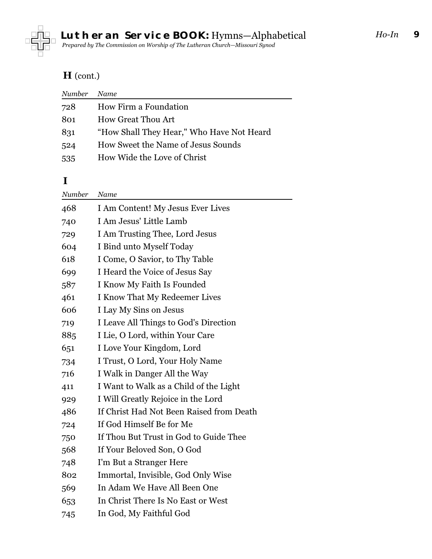<span id="page-8-0"></span>

# **H** (cont.)

| Number | Name                                      |
|--------|-------------------------------------------|
| 728    | How Firm a Foundation                     |
| 801    | <b>How Great Thou Art</b>                 |
| 831    | "How Shall They Hear," Who Have Not Heard |
| 524    | How Sweet the Name of Jesus Sounds        |
| 535    | How Wide the Love of Christ               |
|        |                                           |

#### **I**

| Name                                     |
|------------------------------------------|
| I Am Content! My Jesus Ever Lives        |
| I Am Jesus' Little Lamb                  |
| I Am Trusting Thee, Lord Jesus           |
| I Bind unto Myself Today                 |
| I Come, O Savior, to Thy Table           |
| I Heard the Voice of Jesus Say           |
| I Know My Faith Is Founded               |
| I Know That My Redeemer Lives            |
| I Lay My Sins on Jesus                   |
| I Leave All Things to God's Direction    |
| I Lie, O Lord, within Your Care          |
| I Love Your Kingdom, Lord                |
| I Trust, O Lord, Your Holy Name          |
| I Walk in Danger All the Way             |
| I Want to Walk as a Child of the Light   |
| I Will Greatly Rejoice in the Lord       |
| If Christ Had Not Been Raised from Death |
| If God Himself Be for Me                 |
| If Thou But Trust in God to Guide Thee   |
| If Your Beloved Son, O God               |
| I'm But a Stranger Here                  |
| Immortal, Invisible, God Only Wise       |
| In Adam We Have All Been One             |
| In Christ There Is No East or West       |
| In God, My Faithful God                  |
|                                          |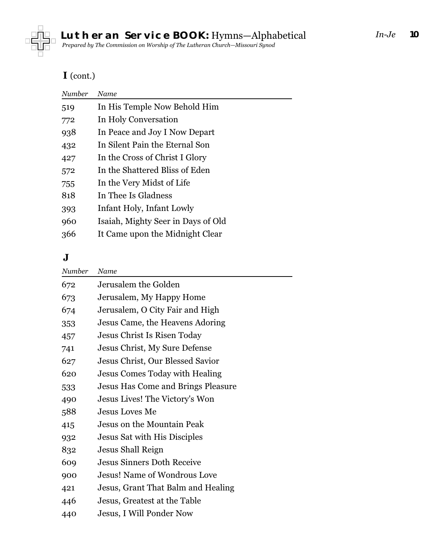<span id="page-9-0"></span>

## **I** (cont.)

| Number | Name                               |
|--------|------------------------------------|
| 519    | In His Temple Now Behold Him       |
| 772    | In Holy Conversation               |
| 938    | In Peace and Joy I Now Depart      |
| 432    | In Silent Pain the Eternal Son     |
| 427    | In the Cross of Christ I Glory     |
| 572    | In the Shattered Bliss of Eden     |
| 755    | In the Very Midst of Life          |
| 818    | In Thee Is Gladness                |
| 393    | Infant Holy, Infant Lowly          |
| 960    | Isaiah, Mighty Seer in Days of Old |
| 366    | It Came upon the Midnight Clear    |
|        |                                    |

#### **J**

| Number | Name                                |
|--------|-------------------------------------|
| 672    | Jerusalem the Golden                |
| 673    | Jerusalem, My Happy Home            |
| 674    | Jerusalem, O City Fair and High     |
| 353    | Jesus Came, the Heavens Adoring     |
| 457    | Jesus Christ Is Risen Today         |
| 741    | Jesus Christ, My Sure Defense       |
| 627    | Jesus Christ, Our Blessed Savior    |
| 620    | Jesus Comes Today with Healing      |
| 533    | Jesus Has Come and Brings Pleasure  |
| 490    | Jesus Lives! The Victory's Won      |
| 588    | <b>Jesus Loves Me</b>               |
| 415    | Jesus on the Mountain Peak          |
| 932    | Jesus Sat with His Disciples        |
| 832    | Jesus Shall Reign                   |
| 609    | <b>Jesus Sinners Doth Receive</b>   |
| 900    | <b>Jesus! Name of Wondrous Love</b> |
| 421    | Jesus, Grant That Balm and Healing  |
| 446    | Jesus, Greatest at the Table        |
| 440    | Jesus, I Will Ponder Now            |
|        |                                     |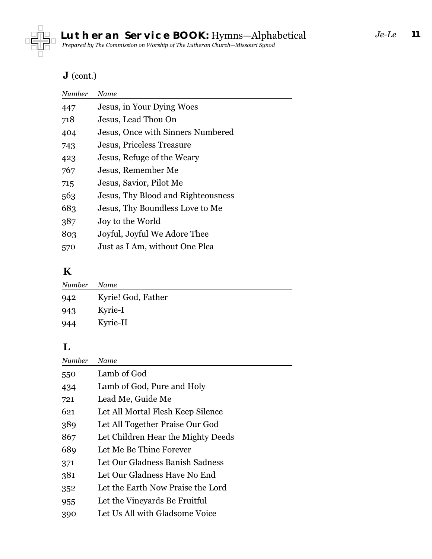<span id="page-10-0"></span>

## **J** (cont.)

| Number | Name                               |
|--------|------------------------------------|
| 447    | Jesus, in Your Dying Woes          |
| 718    | Jesus, Lead Thou On                |
| 404    | Jesus, Once with Sinners Numbered  |
| 743    | Jesus, Priceless Treasure          |
| 423    | Jesus, Refuge of the Weary         |
| 767    | Jesus, Remember Me                 |
| 715    | Jesus, Savior, Pilot Me            |
| 563    | Jesus, Thy Blood and Righteousness |
| 683    | Jesus, Thy Boundless Love to Me    |
| 387    | Joy to the World                   |
| 803    | Joyful, Joyful We Adore Thee       |
| 570    | Just as I Am, without One Plea     |
|        |                                    |

#### **K**

| Number | Name               |
|--------|--------------------|
| 942    | Kyrie! God, Father |
| 943    | Kyrie-I            |
| 944    | Kyrie-II           |

## **L**

| Number | Name                               |
|--------|------------------------------------|
| 550    | Lamb of God                        |
| 434    | Lamb of God, Pure and Holy         |
| 721    | Lead Me, Guide Me                  |
| 621    | Let All Mortal Flesh Keep Silence  |
| 389    | Let All Together Praise Our God    |
| 867    | Let Children Hear the Mighty Deeds |
| 689    | Let Me Be Thine Forever            |
| 371    | Let Our Gladness Banish Sadness    |
| 381    | Let Our Gladness Have No End       |
| 352    | Let the Earth Now Praise the Lord  |
| 955    | Let the Vineyards Be Fruitful      |
| 390    | Let Us All with Gladsome Voice     |
|        |                                    |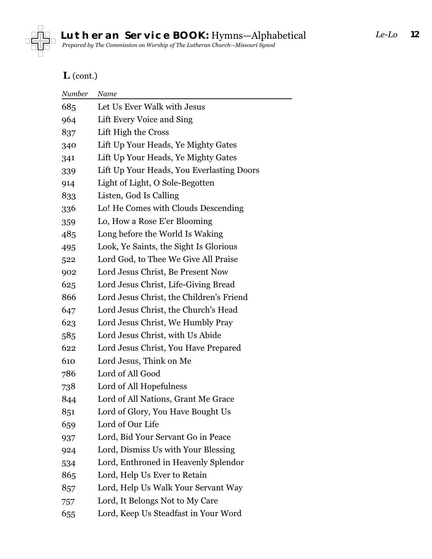

## **L** (cont.)

| Number | Name                                      |
|--------|-------------------------------------------|
| 685    | Let Us Ever Walk with Jesus               |
| 964    | Lift Every Voice and Sing                 |
| 837    | Lift High the Cross                       |
| 340    | Lift Up Your Heads, Ye Mighty Gates       |
| 341    | Lift Up Your Heads, Ye Mighty Gates       |
| 339    | Lift Up Your Heads, You Everlasting Doors |
| 914    | Light of Light, O Sole-Begotten           |
| 833    | Listen, God Is Calling                    |
| 336    | Lo! He Comes with Clouds Descending       |
| 359    | Lo, How a Rose E'er Blooming              |
| 485    | Long before the World Is Waking           |
| 495    | Look, Ye Saints, the Sight Is Glorious    |
| 522    | Lord God, to Thee We Give All Praise      |
| 902    | Lord Jesus Christ, Be Present Now         |
| 625    | Lord Jesus Christ, Life-Giving Bread      |
| 866    | Lord Jesus Christ, the Children's Friend  |
| 647    | Lord Jesus Christ, the Church's Head      |
| 623    | Lord Jesus Christ, We Humbly Pray         |
| 585    | Lord Jesus Christ, with Us Abide          |
| 622    | Lord Jesus Christ, You Have Prepared      |
| 610    | Lord Jesus, Think on Me                   |
| 786    | Lord of All Good                          |
| 738    | Lord of All Hopefulness                   |
| 844    | Lord of All Nations, Grant Me Grace       |
| 851    | Lord of Glory, You Have Bought Us         |
| 659    | Lord of Our Life                          |
| 937    | Lord, Bid Your Servant Go in Peace        |
| 924    | Lord, Dismiss Us with Your Blessing       |
| 534    | Lord, Enthroned in Heavenly Splendor      |
| 865    | Lord, Help Us Ever to Retain              |
| 857    | Lord, Help Us Walk Your Servant Way       |
| 757    | Lord, It Belongs Not to My Care           |
| 655    | Lord, Keep Us Steadfast in Your Word      |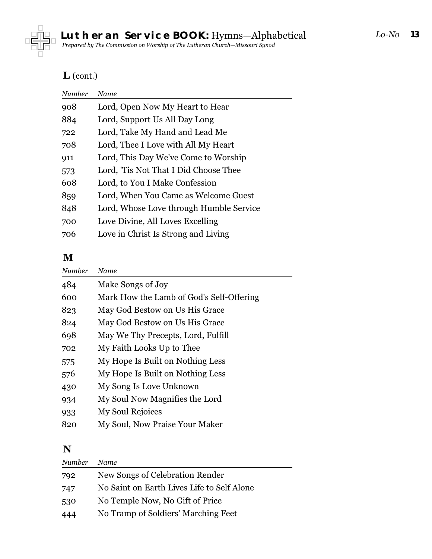<span id="page-12-0"></span>

## **L** (cont.)

| Name                                    |
|-----------------------------------------|
| Lord, Open Now My Heart to Hear         |
| Lord, Support Us All Day Long           |
| Lord, Take My Hand and Lead Me          |
| Lord, Thee I Love with All My Heart     |
| Lord, This Day We've Come to Worship    |
| Lord, 'Tis Not That I Did Choose Thee   |
| Lord, to You I Make Confession          |
| Lord, When You Came as Welcome Guest    |
| Lord, Whose Love through Humble Service |
| Love Divine, All Loves Excelling        |
| Love in Christ Is Strong and Living     |
|                                         |

#### **M**

| Number | Name                                     |
|--------|------------------------------------------|
| 484    | Make Songs of Joy                        |
| 600    | Mark How the Lamb of God's Self-Offering |
| 823    | May God Bestow on Us His Grace           |
| 824    | May God Bestow on Us His Grace           |
| 698    | May We Thy Precepts, Lord, Fulfill       |
| 702    | My Faith Looks Up to Thee                |
| 575    | My Hope Is Built on Nothing Less         |
| 576    | My Hope Is Built on Nothing Less         |
| 430    | My Song Is Love Unknown                  |
| 934    | My Soul Now Magnifies the Lord           |
| 933    | My Soul Rejoices                         |
| 820    | My Soul, Now Praise Your Maker           |
|        |                                          |

#### **N**

| Number | <b>Name</b>                                |
|--------|--------------------------------------------|
| 792    | New Songs of Celebration Render            |
| 747    | No Saint on Earth Lives Life to Self Alone |
| 530    | No Temple Now, No Gift of Price            |
| 444    | No Tramp of Soldiers' Marching Feet        |
|        |                                            |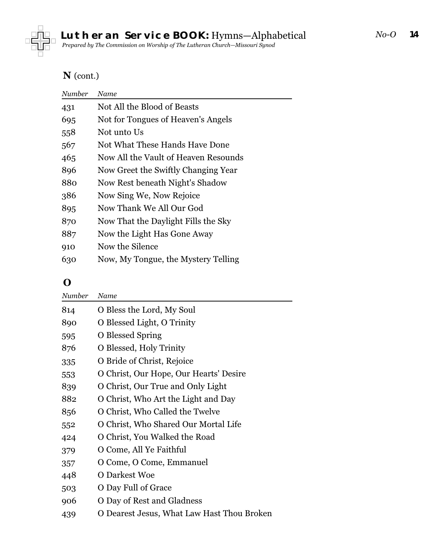<span id="page-13-0"></span>

#### **N** (cont.)

| Number | Name                                 |
|--------|--------------------------------------|
| 431    | Not All the Blood of Beasts          |
| 695    | Not for Tongues of Heaven's Angels   |
| 558    | Not unto Us                          |
| 567    | Not What These Hands Have Done       |
| 465    | Now All the Vault of Heaven Resounds |
| 896    | Now Greet the Swiftly Changing Year  |
| 880    | Now Rest beneath Night's Shadow      |
| 386    | Now Sing We, Now Rejoice             |
| 895    | Now Thank We All Our God             |
| 870    | Now That the Daylight Fills the Sky  |
| 887    | Now the Light Has Gone Away          |
| 910    | Now the Silence                      |
| 630    | Now, My Tongue, the Mystery Telling  |

#### **O**

| Number | Name                                     |
|--------|------------------------------------------|
| 814    | O Bless the Lord, My Soul                |
| 890    | O Blessed Light, O Trinity               |
| 595    | O Blessed Spring                         |
| 876    | O Blessed, Holy Trinity                  |
| 335    | O Bride of Christ, Rejoice               |
| 553    | O Christ, Our Hope, Our Hearts' Desire   |
| 839    | O Christ, Our True and Only Light        |
| 882    | O Christ, Who Art the Light and Day      |
| 856    | O Christ, Who Called the Twelve          |
| 552    | O Christ, Who Shared Our Mortal Life     |
| 424    | O Christ, You Walked the Road            |
| 379    | O Come, All Ye Faithful                  |
| 357    | O Come, O Come, Emmanuel                 |
| 448    | O Darkest Woe                            |
| 503    | O Day Full of Grace                      |
| 906    | O Day of Rest and Gladness               |
| 439    | Dearest Jesus, What Law Hast Thou Broken |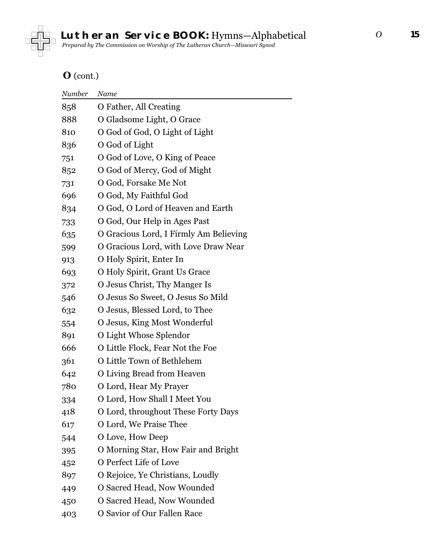

#### **O** (cont.)

| Number | Name                                   |
|--------|----------------------------------------|
| 858    | O Father, All Creating                 |
| 888    | O Gladsome Light, O Grace              |
| 810    | O God of God, O Light of Light         |
| 836    | O God of Light                         |
| 751    | O God of Love, O King of Peace         |
| 852    | O God of Mercy, God of Might           |
| 731    | O God, Forsake Me Not                  |
| 696    | O God, My Faithful God                 |
| 834    | O God, O Lord of Heaven and Earth      |
| 733    | O God, Our Help in Ages Past           |
| 635    | O Gracious Lord, I Firmly Am Believing |
| 599    | O Gracious Lord, with Love Draw Near   |
| 913    | O Holy Spirit, Enter In                |
| 693    | O Holy Spirit, Grant Us Grace          |
| 372    | O Jesus Christ, Thy Manger Is          |
| 546    | O Jesus So Sweet, O Jesus So Mild      |
| 632    | O Jesus, Blessed Lord, to Thee         |
| 554    | O Jesus, King Most Wonderful           |
| 891    | O Light Whose Splendor                 |
| 666    | O Little Flock, Fear Not the Foe       |
| 361    | O Little Town of Bethlehem             |
| 642    | O Living Bread from Heaven             |
| 780    | O Lord, Hear My Prayer                 |
| 334    | O Lord, How Shall I Meet You           |
| 418    | O Lord, throughout These Forty Days    |
| 617    | O Lord, We Praise Thee                 |
| 544    | O Love, How Deep                       |
| 395    | O Morning Star, How Fair and Bright    |
| 452    | O Perfect Life of Love                 |
| 897    | O Rejoice, Ye Christians, Loudly       |
| 449    | O Sacred Head, Now Wounded             |
| 450    | O Sacred Head, Now Wounded             |
| 403    | O Savior of Our Fallen Race            |
|        |                                        |

*O*

**15**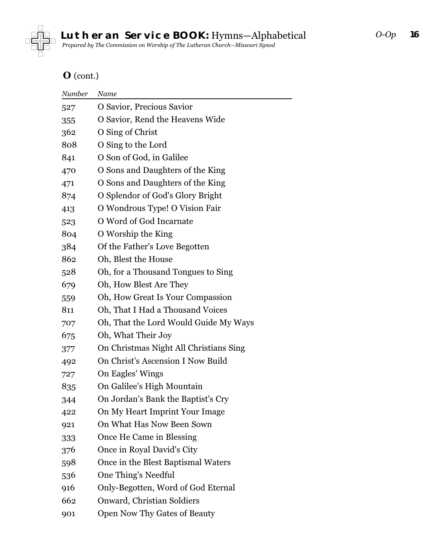

## **O** (cont.)

| Number | Name                                   |
|--------|----------------------------------------|
| 527    | O Savior, Precious Savior              |
| 355    | O Savior, Rend the Heavens Wide        |
| 362    | O Sing of Christ                       |
| 808    | O Sing to the Lord                     |
| 841    | O Son of God, in Galilee               |
| 470    | O Sons and Daughters of the King       |
| 471    | O Sons and Daughters of the King       |
| 874    | O Splendor of God's Glory Bright       |
| 413    | O Wondrous Type! O Vision Fair         |
| 523    | O Word of God Incarnate                |
| 804    | O Worship the King                     |
| 384    | Of the Father's Love Begotten          |
| 862    | Oh, Blest the House                    |
| 528    | Oh, for a Thousand Tongues to Sing     |
| 679    | Oh, How Blest Are They                 |
| 559    | Oh, How Great Is Your Compassion       |
| 811    | Oh, That I Had a Thousand Voices       |
| 707    | Oh, That the Lord Would Guide My Ways  |
| 675    | Oh, What Their Joy                     |
| 377    | On Christmas Night All Christians Sing |
| 492    | On Christ's Ascension I Now Build      |
| 727    | On Eagles' Wings                       |
| 835    | On Galilee's High Mountain             |
| 344    | On Jordan's Bank the Baptist's Cry     |
| 422    | On My Heart Imprint Your Image         |
| 921    | On What Has Now Been Sown              |
| 333    | Once He Came in Blessing               |
| 376    | Once in Royal David's City             |
| 598    | Once in the Blest Baptismal Waters     |
| 536    | One Thing's Needful                    |
| 916    | Only-Begotten, Word of God Eternal     |
| 662    | Onward, Christian Soldiers             |
| 901    | Open Now Thy Gates of Beauty           |
|        |                                        |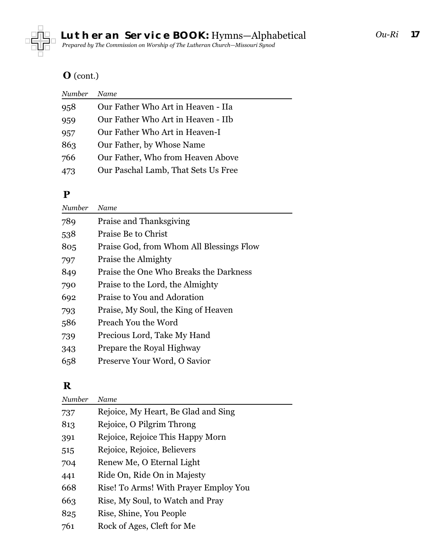<span id="page-16-0"></span>

#### **O** (cont.)

| Number | <b>Name</b>                         |
|--------|-------------------------------------|
| 958    | Our Father Who Art in Heaven - IIa  |
| 959    | Our Father Who Art in Heaven - IIb  |
| 957    | Our Father Who Art in Heaven-I      |
| 863    | Our Father, by Whose Name           |
| 766    | Our Father, Who from Heaven Above   |
| 473    | Our Paschal Lamb, That Sets Us Free |
|        |                                     |

#### **P**

| Number | Name                                     |
|--------|------------------------------------------|
| 789    | Praise and Thanksgiving                  |
| 538    | Praise Be to Christ                      |
| 805    | Praise God, from Whom All Blessings Flow |
| 797    | Praise the Almighty                      |
| 849    | Praise the One Who Breaks the Darkness   |
| 790    | Praise to the Lord, the Almighty         |
| 692    | Praise to You and Adoration              |
| 793    | Praise, My Soul, the King of Heaven      |
| 586    | Preach You the Word                      |
| 739    | Precious Lord, Take My Hand              |
| 343    | Prepare the Royal Highway                |
| 658    | Preserve Your Word, O Savior             |

## **R**

| Number | Name                                  |
|--------|---------------------------------------|
| 737    | Rejoice, My Heart, Be Glad and Sing   |
| 813    | Rejoice, O Pilgrim Throng             |
| 391    | Rejoice, Rejoice This Happy Morn      |
| 515    | Rejoice, Rejoice, Believers           |
| 704    | Renew Me, O Eternal Light             |
| 441    | Ride On, Ride On in Majesty           |
| 668    | Rise! To Arms! With Prayer Employ You |
| 663    | Rise, My Soul, to Watch and Pray      |
| 825    | Rise, Shine, You People               |
| 761    | Rock of Ages, Cleft for Me            |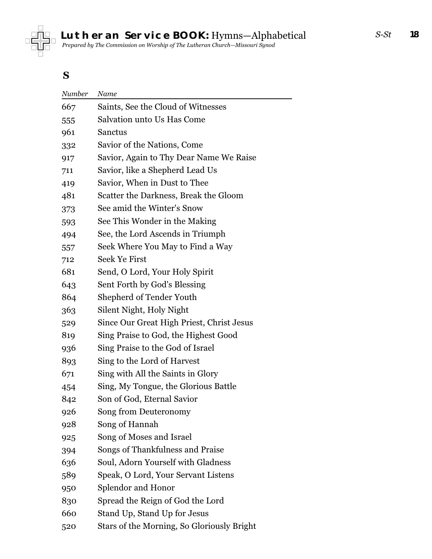<span id="page-17-0"></span>

#### **S**

| Number | Name                                       |
|--------|--------------------------------------------|
| 667    | Saints, See the Cloud of Witnesses         |
| 555    | Salvation unto Us Has Come                 |
| 961    | Sanctus                                    |
| 332    | Savior of the Nations, Come                |
| 917    | Savior, Again to Thy Dear Name We Raise    |
| 711    | Savior, like a Shepherd Lead Us            |
| 419    | Savior, When in Dust to Thee               |
| 481    | Scatter the Darkness, Break the Gloom      |
| 373    | See amid the Winter's Snow                 |
| 593    | See This Wonder in the Making              |
| 494    | See, the Lord Ascends in Triumph           |
| 557    | Seek Where You May to Find a Way           |
| 712    | Seek Ye First                              |
| 681    | Send, O Lord, Your Holy Spirit             |
| 643    | Sent Forth by God's Blessing               |
| 864    | Shepherd of Tender Youth                   |
| 363    | Silent Night, Holy Night                   |
| 529    | Since Our Great High Priest, Christ Jesus  |
| 819    | Sing Praise to God, the Highest Good       |
| 936    | Sing Praise to the God of Israel           |
| 893    | Sing to the Lord of Harvest                |
| 671    | Sing with All the Saints in Glory          |
| 454    | Sing, My Tongue, the Glorious Battle       |
| 842    | Son of God, Eternal Savior                 |
| 926    | Song from Deuteronomy                      |
| 928    | Song of Hannah                             |
| 925    | Song of Moses and Israel                   |
| 394    | Songs of Thankfulness and Praise           |
| 636    | Soul, Adorn Yourself with Gladness         |
| 589    | Speak, O Lord, Your Servant Listens        |
| 950    | Splendor and Honor                         |
| 830    | Spread the Reign of God the Lord           |
| 660    | Stand Up, Stand Up for Jesus               |
| 520    | Stars of the Morning, So Gloriously Bright |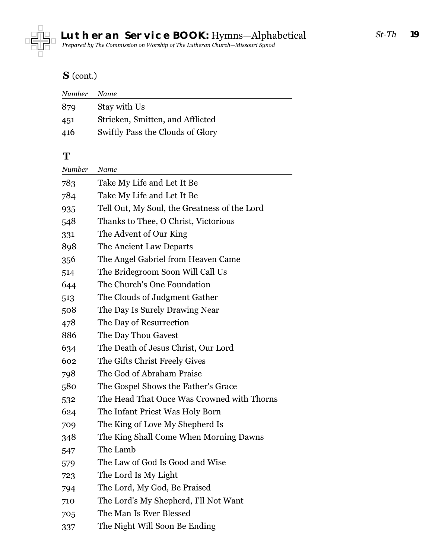<span id="page-18-0"></span>

## **S** (cont.)

| Number | Name                             |
|--------|----------------------------------|
| 879    | Stay with Us                     |
| 451    | Stricken, Smitten, and Afflicted |
| 416    | Swiftly Pass the Clouds of Glory |

#### **T**

| Number | Name                                         |
|--------|----------------------------------------------|
| 783    | Take My Life and Let It Be                   |
| 784    | Take My Life and Let It Be                   |
| 935    | Tell Out, My Soul, the Greatness of the Lord |
| 548    | Thanks to Thee, O Christ, Victorious         |
| 331    | The Advent of Our King                       |
| 898    | The Ancient Law Departs                      |
| 356    | The Angel Gabriel from Heaven Came           |
| 514    | The Bridegroom Soon Will Call Us             |
| 644    | The Church's One Foundation                  |
| 513    | The Clouds of Judgment Gather                |
| 508    | The Day Is Surely Drawing Near               |
| 478    | The Day of Resurrection                      |
| 886    | The Day Thou Gavest                          |
| 634    | The Death of Jesus Christ, Our Lord          |
| 602    | The Gifts Christ Freely Gives                |
| 798    | The God of Abraham Praise                    |
| 580    | The Gospel Shows the Father's Grace          |
| 532    | The Head That Once Was Crowned with Thorns   |
| 624    | The Infant Priest Was Holy Born              |
| 709    | The King of Love My Shepherd Is              |
| 348    | The King Shall Come When Morning Dawns       |
| 547    | The Lamb                                     |
| 579    | The Law of God Is Good and Wise              |
| 723    | The Lord Is My Light                         |
| 794    | The Lord, My God, Be Praised                 |
| 710    | The Lord's My Shepherd, I'll Not Want        |
| 705    | The Man Is Ever Blessed                      |
| 337    | The Night Will Soon Be Ending                |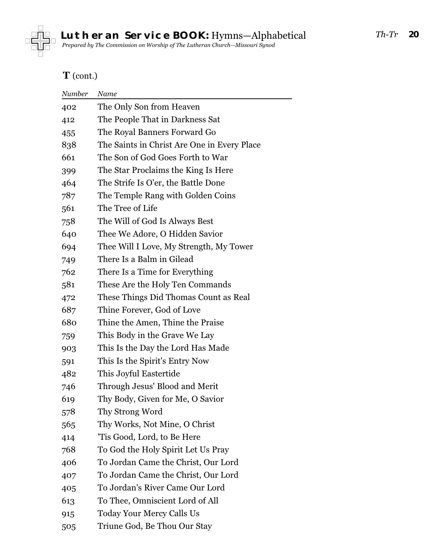

## **T** (cont.)

| Number | Name                                        |
|--------|---------------------------------------------|
| 402    | The Only Son from Heaven                    |
| 412    | The People That in Darkness Sat             |
| 455    | The Royal Banners Forward Go                |
| 838    | The Saints in Christ Are One in Every Place |
| 661    | The Son of God Goes Forth to War            |
| 399    | The Star Proclaims the King Is Here         |
| 464    | The Strife Is O'er, the Battle Done         |
| 787    | The Temple Rang with Golden Coins           |
| 561    | The Tree of Life                            |
| 758    | The Will of God Is Always Best              |
| 640    | Thee We Adore, O Hidden Savior              |
| 694    | Thee Will I Love, My Strength, My Tower     |
| 749    | There Is a Balm in Gilead                   |
| 762    | There Is a Time for Everything              |
| 581    | These Are the Holy Ten Commands             |
| 472    | These Things Did Thomas Count as Real       |
| 687    | Thine Forever, God of Love                  |
| 680    | Thine the Amen, Thine the Praise            |
| 759    | This Body in the Grave We Lay               |
| 903    | This Is the Day the Lord Has Made           |
| 591    | This Is the Spirit's Entry Now              |
| 482    | This Joyful Eastertide                      |
| 746    | Through Jesus' Blood and Merit              |
| 619    | Thy Body, Given for Me, O Savior            |
| 578    | Thy Strong Word                             |
| 565    | Thy Works, Not Mine, O Christ               |
| 414    | 'Tis Good, Lord, to Be Here                 |
| 768    | To God the Holy Spirit Let Us Pray          |
| 406    | To Jordan Came the Christ, Our Lord         |
| 407    | To Jordan Came the Christ, Our Lord         |
| 405    | To Jordan's River Came Our Lord             |
| 613    | To Thee, Omniscient Lord of All             |
| 915    | <b>Today Your Mercy Calls Us</b>            |
| 505    | Triune God, Be Thou Our Stay                |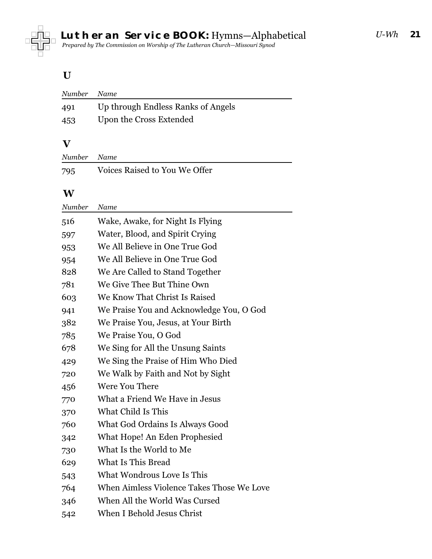<span id="page-20-0"></span>

**21** *U-Wh*

#### **U**

| Number | Name                               |
|--------|------------------------------------|
| 491    | Up through Endless Ranks of Angels |
| 453    | Upon the Cross Extended            |

#### **V**

| Number Name |                               |
|-------------|-------------------------------|
| 795         | Voices Raised to You We Offer |

 $\overline{\phantom{0}}$ 

#### **W**

| Number | Name                                      |
|--------|-------------------------------------------|
| 516    | Wake, Awake, for Night Is Flying          |
| 597    | Water, Blood, and Spirit Crying           |
| 953    | We All Believe in One True God            |
| 954    | We All Believe in One True God            |
| 828    | We Are Called to Stand Together           |
| 781    | We Give Thee But Thine Own                |
| 603    | We Know That Christ Is Raised             |
| 941    | We Praise You and Acknowledge You, O God  |
| 382    | We Praise You, Jesus, at Your Birth       |
| 785    | We Praise You, O God                      |
| 678    | We Sing for All the Unsung Saints         |
| 429    | We Sing the Praise of Him Who Died        |
| 720    | We Walk by Faith and Not by Sight         |
| 456    | Were You There                            |
| 770    | What a Friend We Have in Jesus            |
| 370    | What Child Is This                        |
| 760    | What God Ordains Is Always Good           |
| 342    | What Hope! An Eden Prophesied             |
| 730    | What Is the World to Me                   |
| 629    | What Is This Bread                        |
| 543    | What Wondrous Love Is This                |
| 764    | When Aimless Violence Takes Those We Love |
| 346    | When All the World Was Cursed             |
| 542    | When I Behold Jesus Christ                |
|        |                                           |